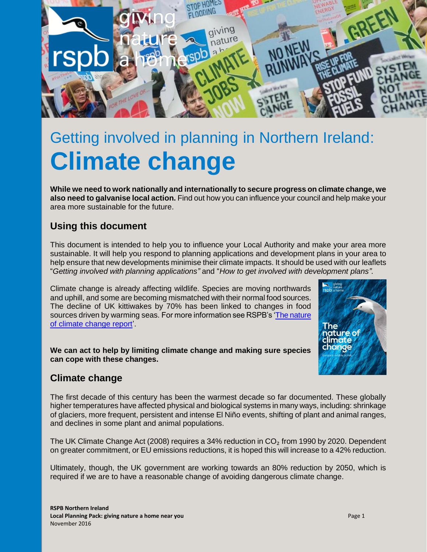

# Getting involved in planning in Northern Ireland: **Climate change**

**While we need to work nationally and internationally to secure progress on climate change, we also need to galvanise local action.** Find out how you can influence your council and help make your area more sustainable for the future.

# **Using this document**

This document is intended to help you to influence your Local Authority and make your area more sustainable. It will help you respond to planning applications and development plans in your area to help ensure that new developments minimise their climate impacts. It should be used with our leaflets "*Getting involved with planning applications"* and "*How to get involved with development plans"*.

Climate change is already affecting wildlife. Species are moving northwards and uphill, and some are becoming mismatched with their normal food sources. The decline of UK kittiwakes by 70% has been linked to changes in food sources driven by warming seas. For more information see RSPB's ['The nature](http://www.rspb.org.uk/Images/natureofclimatechange_tcm9-409709.pdf)  [of climate change report'](http://www.rspb.org.uk/Images/natureofclimatechange_tcm9-409709.pdf).

**We can act to help by limiting climate change and making sure species can cope with these changes.** 



# **Climate change**

The first decade of this century has been the warmest decade so far documented. These globally higher temperatures have affected physical and biological systems in many ways, including: shrinkage of glaciers, more frequent, persistent and intense El Niño events, shifting of plant and animal ranges, and declines in some plant and animal populations.

The UK Climate Change Act (2008) requires a  $34\%$  reduction in CO<sub>2</sub> from 1990 by 2020. Dependent on greater commitment, or EU emissions reductions, it is hoped this will increase to a 42% reduction.

Ultimately, though, the UK government are working towards an 80% reduction by 2050, which is required if we are to have a reasonable change of avoiding dangerous climate change.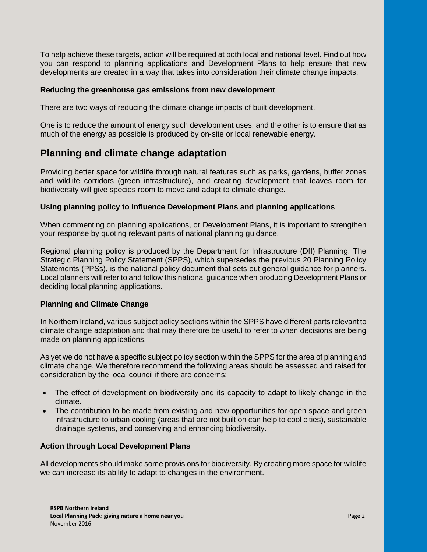To help achieve these targets, action will be required at both local and national level. Find out how you can respond to planning applications and Development Plans to help ensure that new developments are created in a way that takes into consideration their climate change impacts.

#### **Reducing the greenhouse gas emissions from new development**

There are two ways of reducing the climate change impacts of built development.

One is to reduce the amount of energy such development uses, and the other is to ensure that as much of the energy as possible is produced by on-site or local renewable energy.

## **Planning and climate change adaptation**

Providing better space for wildlife through natural features such as parks, gardens, buffer zones and wildlife corridors (green infrastructure), and creating development that leaves room for biodiversity will give species room to move and adapt to climate change.

#### **Using planning policy to influence Development Plans and planning applications**

When commenting on planning applications, or Development Plans, it is important to strengthen your response by quoting relevant parts of national planning guidance.

Regional planning policy is produced by the Department for Infrastructure (DfI) Planning. The Strategic Planning Policy Statement (SPPS), which supersedes the previous 20 Planning Policy Statements (PPSs), is the national policy document that sets out general guidance for planners. Local planners will refer to and follow this national guidance when producing Development Plans or deciding local planning applications.

## **Planning and Climate Change**

In Northern Ireland, various subject policy sections within the SPPS have different parts relevant to climate change adaptation and that may therefore be useful to refer to when decisions are being made on planning applications.

As yet we do not have a specific subject policy section within the SPPS for the area of planning and climate change. We therefore recommend the following areas should be assessed and raised for consideration by the local council if there are concerns:

- The effect of development on biodiversity and its capacity to adapt to likely change in the climate.
- The contribution to be made from existing and new opportunities for open space and green infrastructure to urban cooling (areas that are not built on can help to cool cities), sustainable drainage systems, and conserving and enhancing biodiversity.

## **Action through Local Development Plans**

All developments should make some provisions for biodiversity. By creating more space for wildlife we can increase its ability to adapt to changes in the environment.